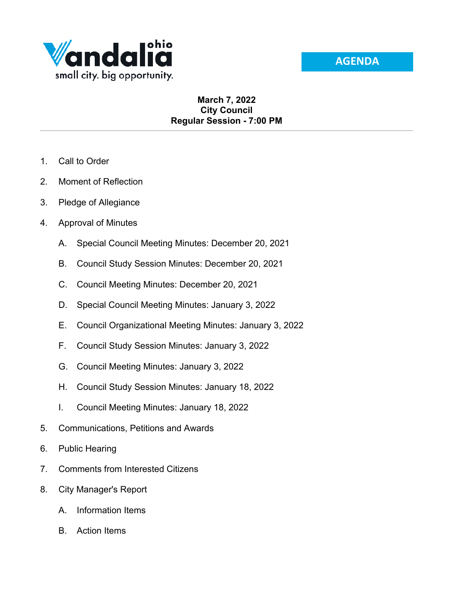



## **March 7, 2022 City Council Regular Session - 7:00 PM**

- 1. Call to Order
- 2. Moment of Reflection
- 3. Pledge of Allegiance
- 4. Approval of Minutes
	- A. Special Council Meeting Minutes: December 20, 2021
	- B. Council Study Session Minutes: December 20, 2021
	- C. Council Meeting Minutes: December 20, 2021
	- D. Special Council Meeting Minutes: January 3, 2022
	- E. Council Organizational Meeting Minutes: January 3, 2022
	- F. Council Study Session Minutes: January 3, 2022
	- G. Council Meeting Minutes: January 3, 2022
	- H. Council Study Session Minutes: January 18, 2022
	- I. Council Meeting Minutes: January 18, 2022
- 5. Communications, Petitions and Awards
- 6. Public Hearing
- 7. Comments from Interested Citizens
- 8. City Manager's Report
	- A. Information Items
	- B. Action Items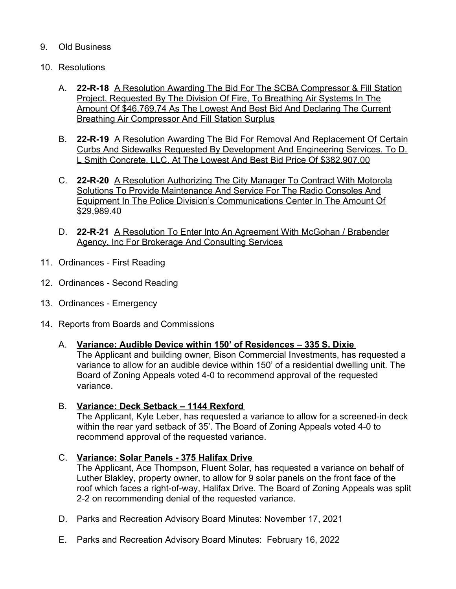## 9. Old Business

- 10. Resolutions
	- A. **22-R-18** A Resolution Awarding The Bid For The SCBA Compressor & Fill Station Project, Requested By The Division Of Fire, To Breathing Air Systems In The Amount Of \$46,769.74 As The Lowest And Best Bid And Declaring The Current Breathing Air Compressor And Fill Station Surplus
	- B. **22-R-19** A Resolution Awarding The Bid For Removal And Replacement Of Certain Curbs And Sidewalks Requested By Development And Engineering Services, To D. L Smith Concrete, LLC. At The Lowest And Best Bid Price Of \$382,907.00
	- C. **22-R-20** A Resolution Authorizing The City Manager To Contract With Motorola Solutions To Provide Maintenance And Service For The Radio Consoles And Equipment In The Police Division's Communications Center In The Amount Of \$29,989.40
	- D. **22-R-21** A Resolution To Enter Into An Agreement With McGohan / Brabender Agency, Inc For Brokerage And Consulting Services
- 11. Ordinances First Reading
- 12. Ordinances Second Reading
- 13. Ordinances Emergency
- 14. Reports from Boards and Commissions

## A. **Variance: Audible Device within 150' of Residences – 335 S. Dixie**

The Applicant and building owner, Bison Commercial Investments, has requested a variance to allow for an audible device within 150' of a residential dwelling unit. The Board of Zoning Appeals voted 4-0 to recommend approval of the requested variance.

## B. **Variance: Deck Setback – 1144 Rexford**

The Applicant, Kyle Leber, has requested a variance to allow for a screened-in deck within the rear yard setback of 35'. The Board of Zoning Appeals voted 4-0 to recommend approval of the requested variance.

C. **Variance: Solar Panels - 375 Halifax Drive**

The Applicant, Ace Thompson, Fluent Solar, has requested a variance on behalf of Luther Blakley, property owner, to allow for 9 solar panels on the front face of the roof which faces a right-of-way, Halifax Drive. The Board of Zoning Appeals was split 2-2 on recommending denial of the requested variance.

- D. Parks and Recreation Advisory Board Minutes: November 17, 2021
- E. Parks and Recreation Advisory Board Minutes: February 16, 2022